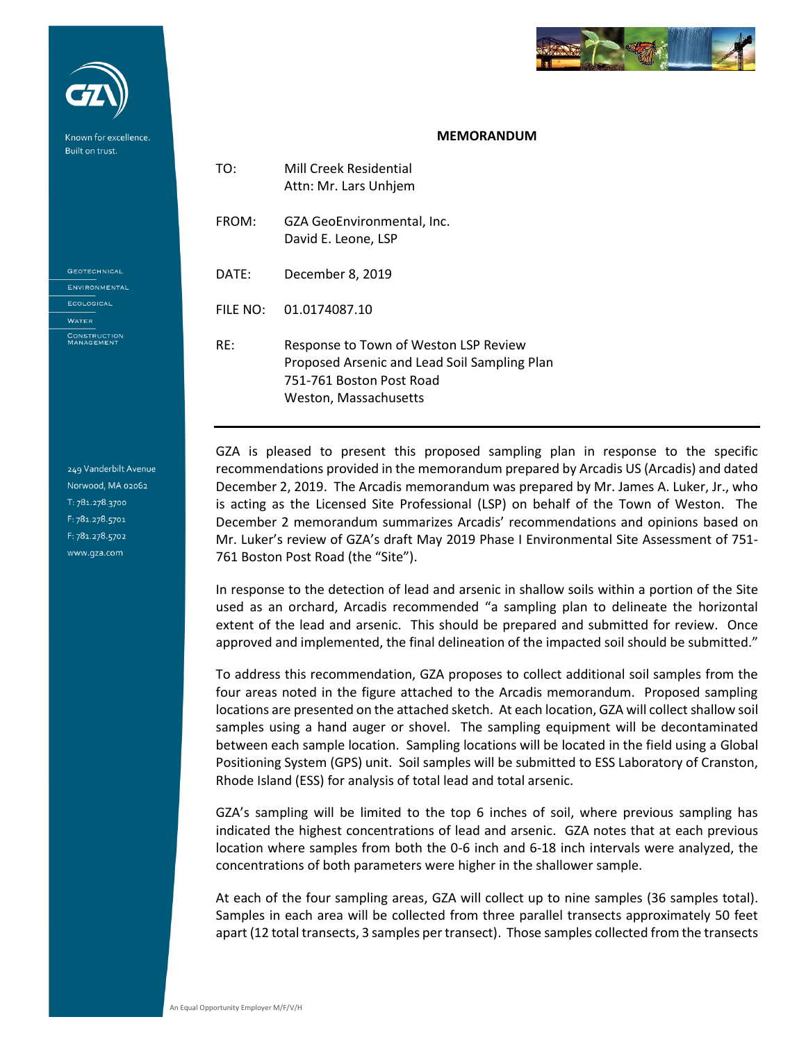

## **MEMORANDUM**

| TO:      | Mill Creek Residential<br>Attn: Mr. Lars Unhjem                                                                                            |
|----------|--------------------------------------------------------------------------------------------------------------------------------------------|
| FROM:    | GZA GeoEnvironmental, Inc.<br>David E. Leone, LSP                                                                                          |
| DATE:    | December 8, 2019                                                                                                                           |
| FILE NO: | 01.0174087.10                                                                                                                              |
| RF:      | Response to Town of Weston LSP Review<br>Proposed Arsenic and Lead Soil Sampling Plan<br>751-761 Boston Post Road<br>Weston, Massachusetts |

GZA is pleased to present this proposed sampling plan in response to the specific recommendations provided in the memorandum prepared by Arcadis US (Arcadis) and dated December 2, 2019. The Arcadis memorandum was prepared by Mr. James A. Luker, Jr., who is acting as the Licensed Site Professional (LSP) on behalf of the Town of Weston. The December 2 memorandum summarizes Arcadis' recommendations and opinions based on Mr. Luker's review of GZA's draft May 2019 Phase I Environmental Site Assessment of 751- 761 Boston Post Road (the "Site").

In response to the detection of lead and arsenic in shallow soils within a portion of the Site used as an orchard, Arcadis recommended "a sampling plan to delineate the horizontal extent of the lead and arsenic. This should be prepared and submitted for review. Once approved and implemented, the final delineation of the impacted soil should be submitted."

To address this recommendation, GZA proposes to collect additional soil samples from the four areas noted in the figure attached to the Arcadis memorandum. Proposed sampling locations are presented on the attached sketch. At each location, GZA will collect shallow soil samples using a hand auger or shovel. The sampling equipment will be decontaminated between each sample location. Sampling locations will be located in the field using a Global Positioning System (GPS) unit. Soil samples will be submitted to ESS Laboratory of Cranston, Rhode Island (ESS) for analysis of total lead and total arsenic.

GZA's sampling will be limited to the top 6 inches of soil, where previous sampling has indicated the highest concentrations of lead and arsenic. GZA notes that at each previous location where samples from both the 0-6 inch and 6-18 inch intervals were analyzed, the concentrations of both parameters were higher in the shallower sample.

At each of the four sampling areas, GZA will collect up to nine samples (36 samples total). Samples in each area will be collected from three parallel transects approximately 50 feet apart (12 total transects, 3 samples per transect). Those samples collected from the transects

**WATER** CONSTRUCTION<br>MANAGEMENT

**GEOTECHNICAL** ENVIRONMENTAL ECOLOGICAL

Known for excellence Built on trust.

249 Vanderbilt Avenue Norwood, MA 02062 T: 781.278.3700 F: 781.278.5701 F: 781.278.5702 www.qza.com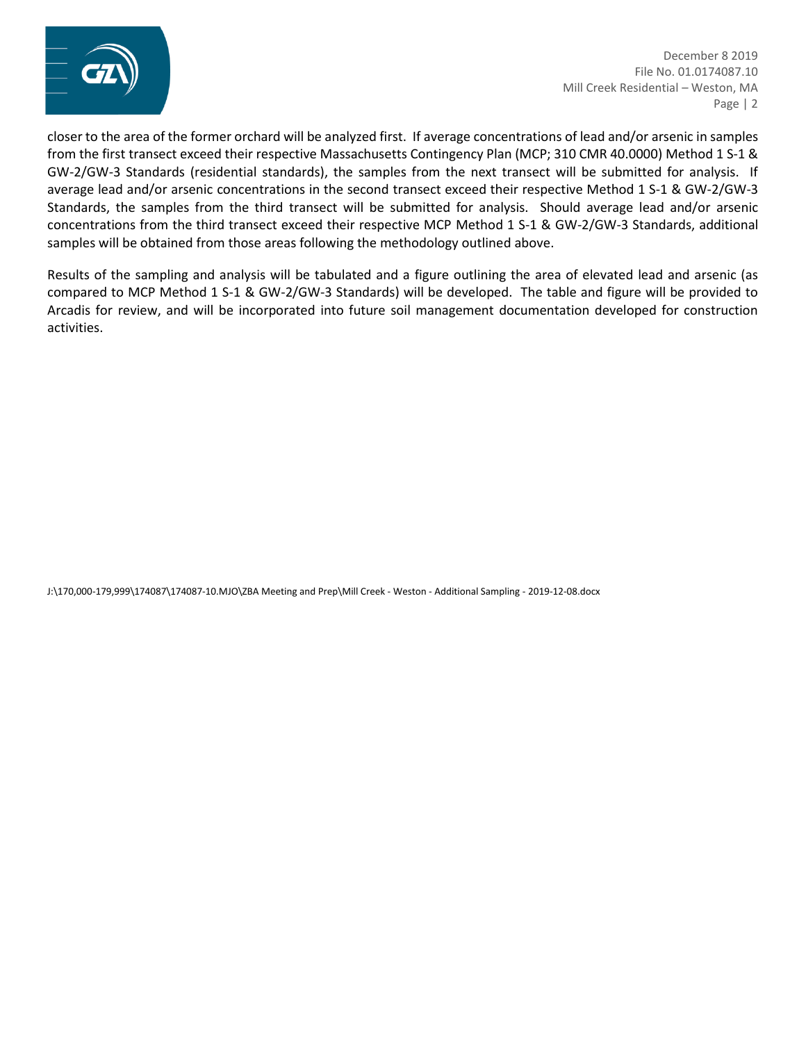

December 8 2019 File No. 01.0174087.10 Mill Creek Residential – Weston, MA Page | 2

*Proactive by Design* closer to the area of the former orchard will be analyzed first. If average concentrations of lead and/or arsenic in samples from the first transect exceed their respective Massachusetts Contingency Plan (MCP; 310 CMR 40.0000) Method 1 S-1 & GW-2/GW-3 Standards (residential standards), the samples from the next transect will be submitted for analysis. If average lead and/or arsenic concentrations in the second transect exceed their respective Method 1 S-1 & GW-2/GW-3 Standards, the samples from the third transect will be submitted for analysis. Should average lead and/or arsenic concentrations from the third transect exceed their respective MCP Method 1 S-1 & GW-2/GW-3 Standards, additional samples will be obtained from those areas following the methodology outlined above.

Results of the sampling and analysis will be tabulated and a figure outlining the area of elevated lead and arsenic (as compared to MCP Method 1 S-1 & GW-2/GW-3 Standards) will be developed. The table and figure will be provided to Arcadis for review, and will be incorporated into future soil management documentation developed for construction activities.

J:\170,000-179,999\174087\174087-10.MJO\ZBA Meeting and Prep\Mill Creek - Weston - Additional Sampling - 2019-12-08.docx